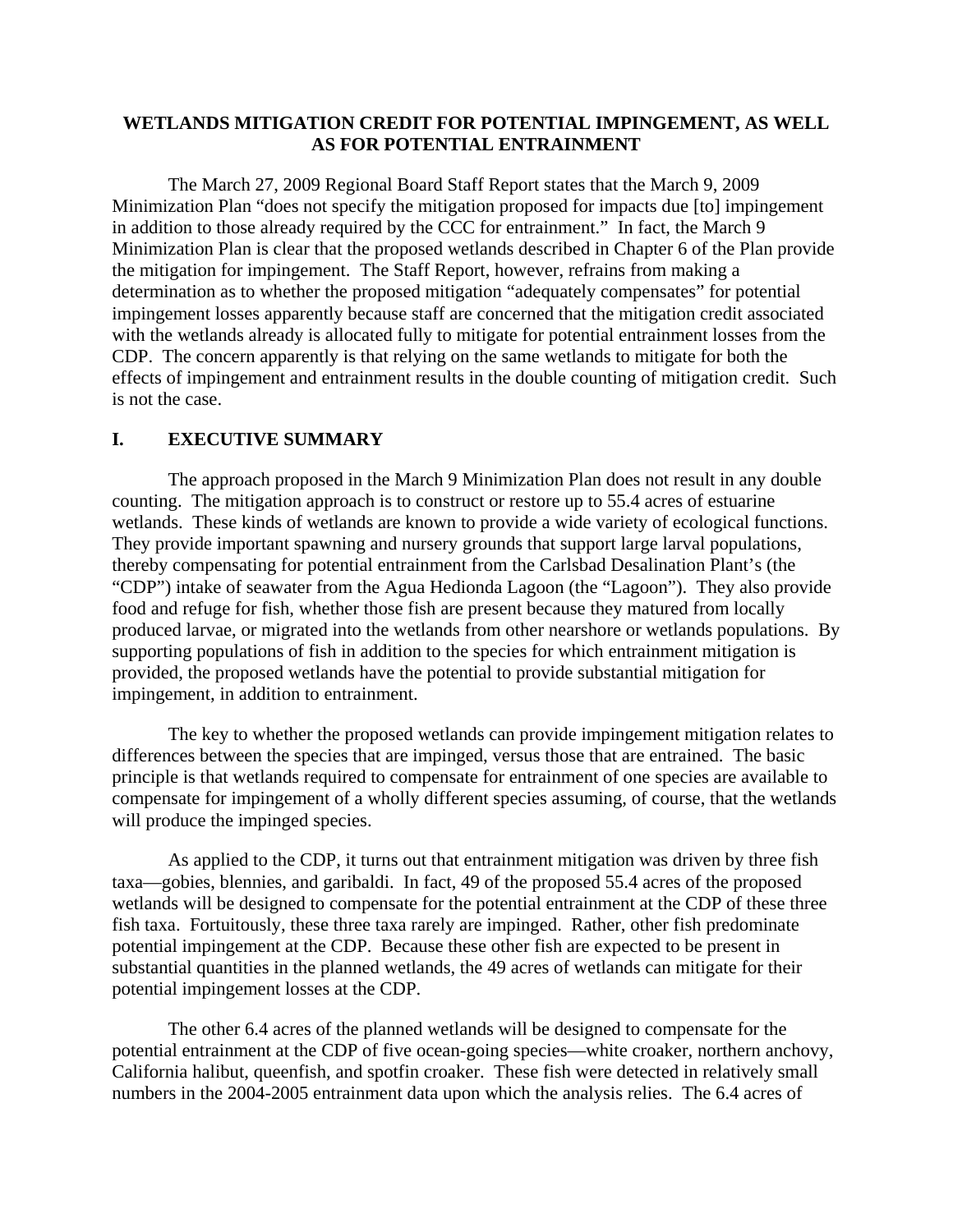#### **WETLANDS MITIGATION CREDIT FOR POTENTIAL IMPINGEMENT, AS WELL AS FOR POTENTIAL ENTRAINMENT**

The March 27, 2009 Regional Board Staff Report states that the March 9, 2009 Minimization Plan "does not specify the mitigation proposed for impacts due [to] impingement in addition to those already required by the CCC for entrainment." In fact, the March 9 Minimization Plan is clear that the proposed wetlands described in Chapter 6 of the Plan provide the mitigation for impingement. The Staff Report, however, refrains from making a determination as to whether the proposed mitigation "adequately compensates" for potential impingement losses apparently because staff are concerned that the mitigation credit associated with the wetlands already is allocated fully to mitigate for potential entrainment losses from the CDP. The concern apparently is that relying on the same wetlands to mitigate for both the effects of impingement and entrainment results in the double counting of mitigation credit. Such is not the case.

#### **I. EXECUTIVE SUMMARY**

The approach proposed in the March 9 Minimization Plan does not result in any double counting. The mitigation approach is to construct or restore up to 55.4 acres of estuarine wetlands. These kinds of wetlands are known to provide a wide variety of ecological functions. They provide important spawning and nursery grounds that support large larval populations, thereby compensating for potential entrainment from the Carlsbad Desalination Plant's (the "CDP") intake of seawater from the Agua Hedionda Lagoon (the "Lagoon"). They also provide food and refuge for fish, whether those fish are present because they matured from locally produced larvae, or migrated into the wetlands from other nearshore or wetlands populations. By supporting populations of fish in addition to the species for which entrainment mitigation is provided, the proposed wetlands have the potential to provide substantial mitigation for impingement, in addition to entrainment.

The key to whether the proposed wetlands can provide impingement mitigation relates to differences between the species that are impinged, versus those that are entrained. The basic principle is that wetlands required to compensate for entrainment of one species are available to compensate for impingement of a wholly different species assuming, of course, that the wetlands will produce the impinged species.

As applied to the CDP, it turns out that entrainment mitigation was driven by three fish taxa—gobies, blennies, and garibaldi. In fact, 49 of the proposed 55.4 acres of the proposed wetlands will be designed to compensate for the potential entrainment at the CDP of these three fish taxa. Fortuitously, these three taxa rarely are impinged. Rather, other fish predominate potential impingement at the CDP. Because these other fish are expected to be present in substantial quantities in the planned wetlands, the 49 acres of wetlands can mitigate for their potential impingement losses at the CDP.

The other 6.4 acres of the planned wetlands will be designed to compensate for the potential entrainment at the CDP of five ocean-going species—white croaker, northern anchovy, California halibut, queenfish, and spotfin croaker. These fish were detected in relatively small numbers in the 2004-2005 entrainment data upon which the analysis relies. The 6.4 acres of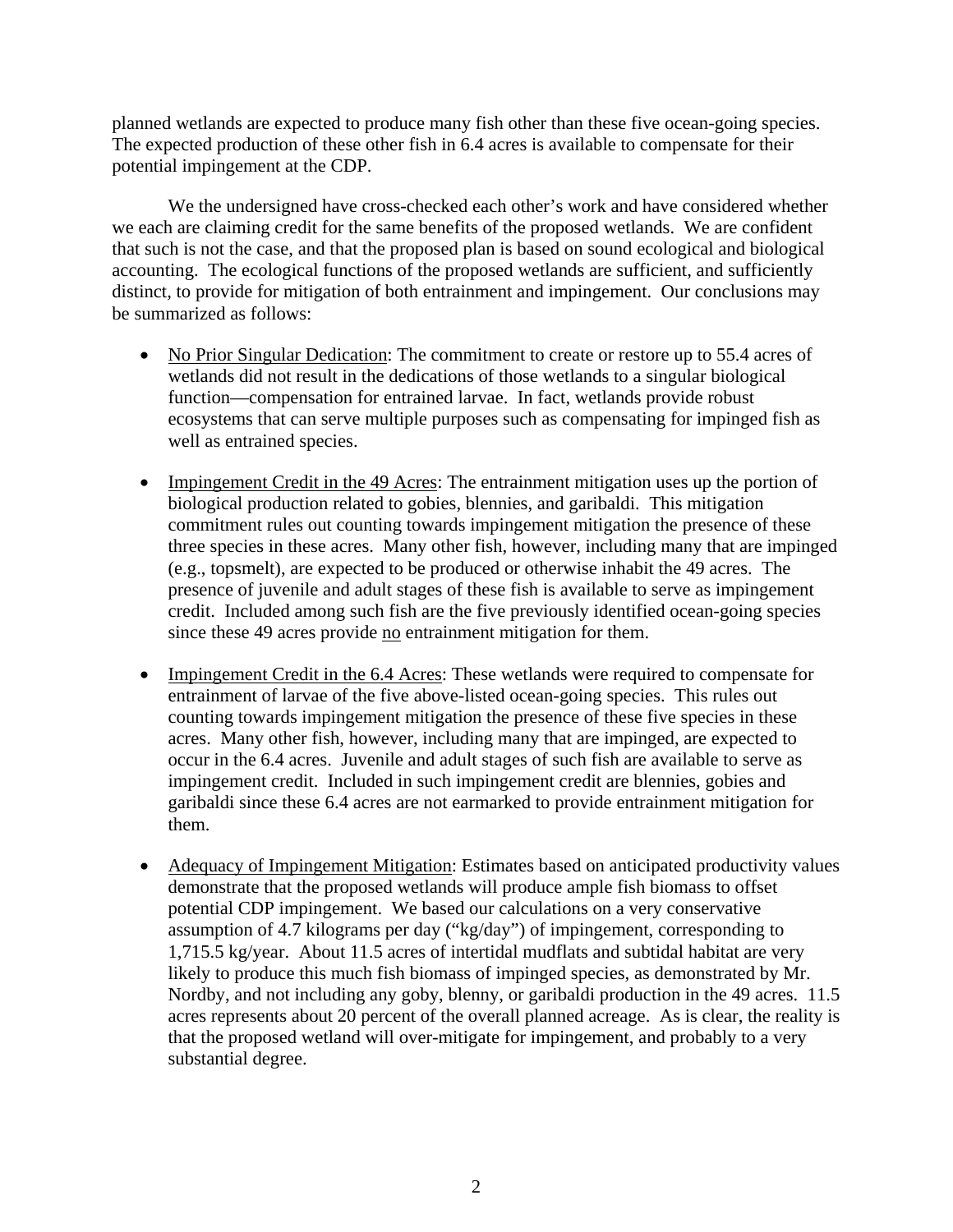planned wetlands are expected to produce many fish other than these five ocean-going species. The expected production of these other fish in 6.4 acres is available to compensate for their potential impingement at the CDP.

We the undersigned have cross-checked each other's work and have considered whether we each are claiming credit for the same benefits of the proposed wetlands. We are confident that such is not the case, and that the proposed plan is based on sound ecological and biological accounting. The ecological functions of the proposed wetlands are sufficient, and sufficiently distinct, to provide for mitigation of both entrainment and impingement. Our conclusions may be summarized as follows:

- No Prior Singular Dedication: The commitment to create or restore up to 55.4 acres of wetlands did not result in the dedications of those wetlands to a singular biological function—compensation for entrained larvae. In fact, wetlands provide robust ecosystems that can serve multiple purposes such as compensating for impinged fish as well as entrained species.
- Impingement Credit in the 49 Acres: The entrainment mitigation uses up the portion of biological production related to gobies, blennies, and garibaldi. This mitigation commitment rules out counting towards impingement mitigation the presence of these three species in these acres. Many other fish, however, including many that are impinged (e.g., topsmelt), are expected to be produced or otherwise inhabit the 49 acres. The presence of juvenile and adult stages of these fish is available to serve as impingement credit. Included among such fish are the five previously identified ocean-going species since these 49 acres provide no entrainment mitigation for them.
- Impingement Credit in the 6.4 Acres: These wetlands were required to compensate for entrainment of larvae of the five above-listed ocean-going species. This rules out counting towards impingement mitigation the presence of these five species in these acres. Many other fish, however, including many that are impinged, are expected to occur in the 6.4 acres. Juvenile and adult stages of such fish are available to serve as impingement credit. Included in such impingement credit are blennies, gobies and garibaldi since these 6.4 acres are not earmarked to provide entrainment mitigation for them.
- Adequacy of Impingement Mitigation: Estimates based on anticipated productivity values demonstrate that the proposed wetlands will produce ample fish biomass to offset potential CDP impingement. We based our calculations on a very conservative assumption of 4.7 kilograms per day ("kg/day") of impingement, corresponding to 1,715.5 kg/year. About 11.5 acres of intertidal mudflats and subtidal habitat are very likely to produce this much fish biomass of impinged species, as demonstrated by Mr. Nordby, and not including any goby, blenny, or garibaldi production in the 49 acres. 11.5 acres represents about 20 percent of the overall planned acreage. As is clear, the reality is that the proposed wetland will over-mitigate for impingement, and probably to a very substantial degree.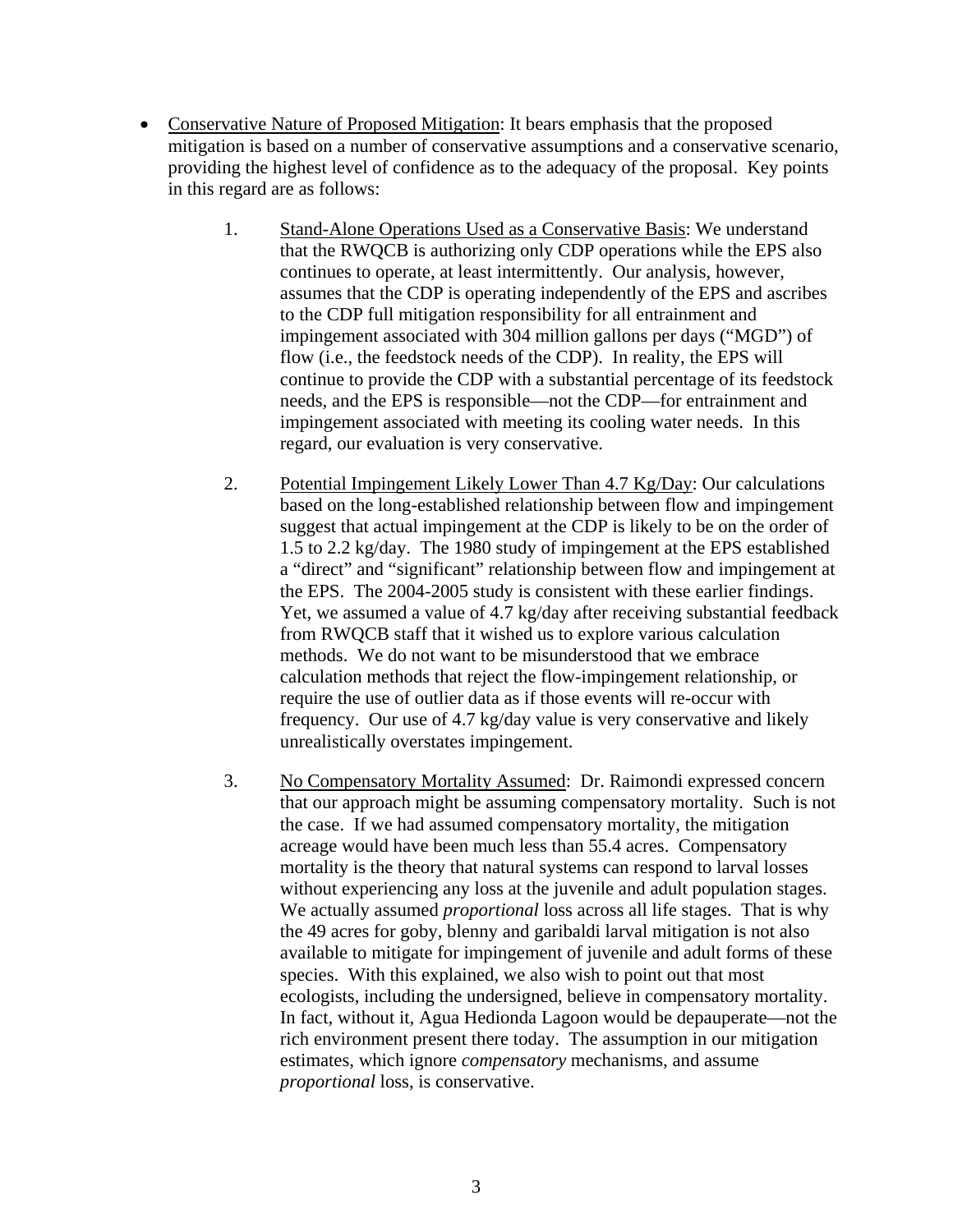- Conservative Nature of Proposed Mitigation: It bears emphasis that the proposed mitigation is based on a number of conservative assumptions and a conservative scenario, providing the highest level of confidence as to the adequacy of the proposal. Key points in this regard are as follows:
	- 1. Stand-Alone Operations Used as a Conservative Basis: We understand that the RWQCB is authorizing only CDP operations while the EPS also continues to operate, at least intermittently. Our analysis, however, assumes that the CDP is operating independently of the EPS and ascribes to the CDP full mitigation responsibility for all entrainment and impingement associated with 304 million gallons per days ("MGD") of flow (i.e., the feedstock needs of the CDP). In reality, the EPS will continue to provide the CDP with a substantial percentage of its feedstock needs, and the EPS is responsible—not the CDP—for entrainment and impingement associated with meeting its cooling water needs. In this regard, our evaluation is very conservative.
	- 2. Potential Impingement Likely Lower Than 4.7 Kg/Day: Our calculations based on the long-established relationship between flow and impingement suggest that actual impingement at the CDP is likely to be on the order of 1.5 to 2.2 kg/day. The 1980 study of impingement at the EPS established a "direct" and "significant" relationship between flow and impingement at the EPS. The 2004-2005 study is consistent with these earlier findings. Yet, we assumed a value of 4.7 kg/day after receiving substantial feedback from RWQCB staff that it wished us to explore various calculation methods. We do not want to be misunderstood that we embrace calculation methods that reject the flow-impingement relationship, or require the use of outlier data as if those events will re-occur with frequency. Our use of 4.7 kg/day value is very conservative and likely unrealistically overstates impingement.
	- 3. No Compensatory Mortality Assumed: Dr. Raimondi expressed concern that our approach might be assuming compensatory mortality. Such is not the case. If we had assumed compensatory mortality, the mitigation acreage would have been much less than 55.4 acres. Compensatory mortality is the theory that natural systems can respond to larval losses without experiencing any loss at the juvenile and adult population stages. We actually assumed *proportional* loss across all life stages. That is why the 49 acres for goby, blenny and garibaldi larval mitigation is not also available to mitigate for impingement of juvenile and adult forms of these species. With this explained, we also wish to point out that most ecologists, including the undersigned, believe in compensatory mortality. In fact, without it, Agua Hedionda Lagoon would be depauperate—not the rich environment present there today. The assumption in our mitigation estimates, which ignore *compensatory* mechanisms, and assume *proportional* loss, is conservative.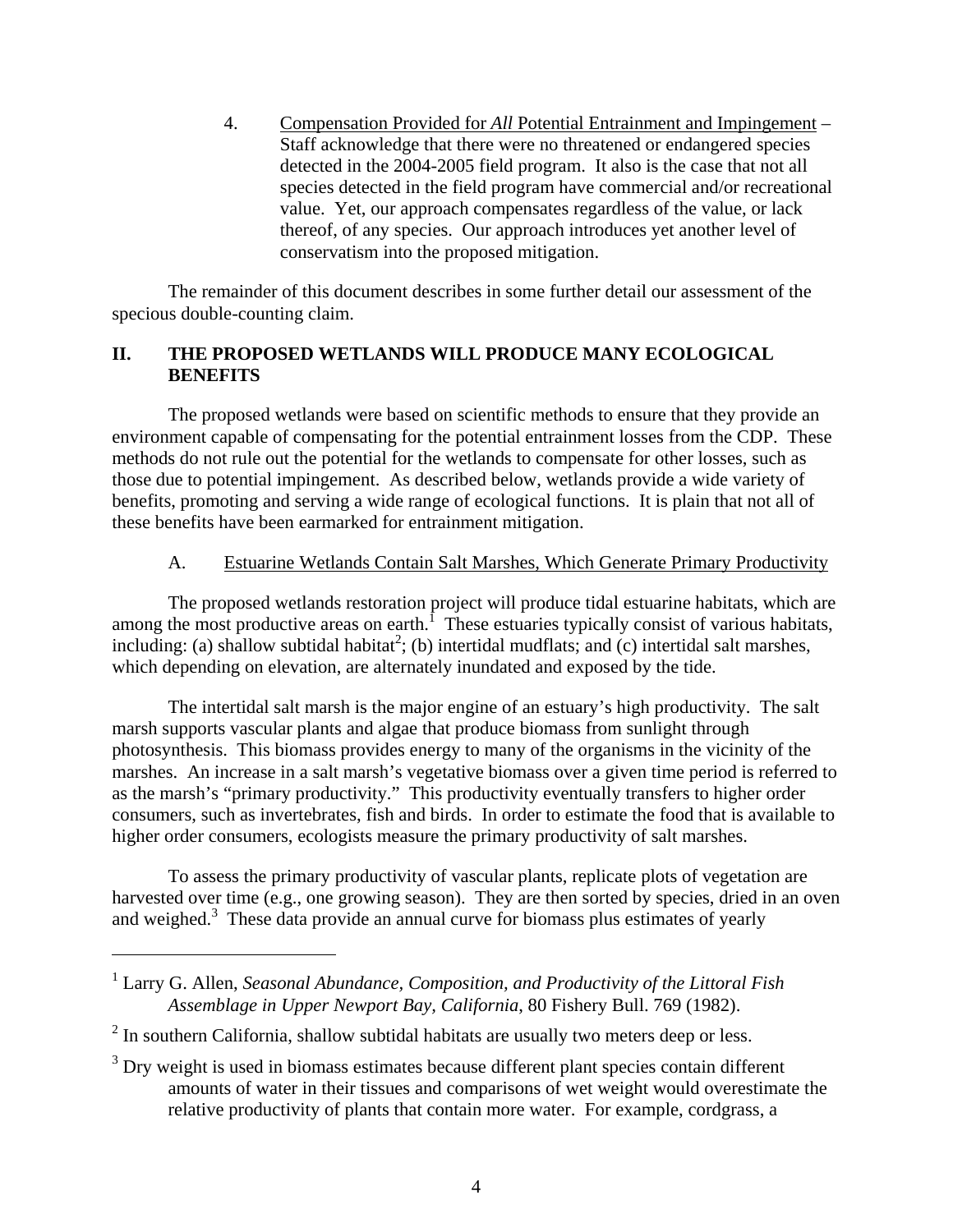4. Compensation Provided for *All* Potential Entrainment and Impingement – Staff acknowledge that there were no threatened or endangered species detected in the 2004-2005 field program. It also is the case that not all species detected in the field program have commercial and/or recreational value. Yet, our approach compensates regardless of the value, or lack thereof, of any species. Our approach introduces yet another level of conservatism into the proposed mitigation.

The remainder of this document describes in some further detail our assessment of the specious double-counting claim.

# **II. THE PROPOSED WETLANDS WILL PRODUCE MANY ECOLOGICAL BENEFITS**

The proposed wetlands were based on scientific methods to ensure that they provide an environment capable of compensating for the potential entrainment losses from the CDP. These methods do not rule out the potential for the wetlands to compensate for other losses, such as those due to potential impingement. As described below, wetlands provide a wide variety of benefits, promoting and serving a wide range of ecological functions. It is plain that not all of these benefits have been earmarked for entrainment mitigation.

#### A. Estuarine Wetlands Contain Salt Marshes, Which Generate Primary Productivity

The proposed wetlands restoration project will produce tidal estuarine habitats, which are among the most productive areas on earth.<sup>1</sup> These estuaries typically consist of various habitats, including: (a) shallow subtidal habitat<sup>2</sup>; (b) intertidal mudflats; and (c) intertidal salt marshes, which depending on elevation, are alternately inundated and exposed by the tide.

The intertidal salt marsh is the major engine of an estuary's high productivity. The salt marsh supports vascular plants and algae that produce biomass from sunlight through photosynthesis. This biomass provides energy to many of the organisms in the vicinity of the marshes. An increase in a salt marsh's vegetative biomass over a given time period is referred to as the marsh's "primary productivity." This productivity eventually transfers to higher order consumers, such as invertebrates, fish and birds. In order to estimate the food that is available to higher order consumers, ecologists measure the primary productivity of salt marshes.

To assess the primary productivity of vascular plants, replicate plots of vegetation are harvested over time (e.g., one growing season). They are then sorted by species, dried in an oven and weighed.<sup>3</sup> These data provide an annual curve for biomass plus estimates of yearly

<sup>&</sup>lt;sup>1</sup> Larry G. Allen, *Seasonal Abundance, Composition, and Productivity of the Littoral Fish Assemblage in Upper Newport Bay, California*, 80 Fishery Bull. 769 (1982).

 $2$  In southern California, shallow subtidal habitats are usually two meters deep or less.

 $3$  Dry weight is used in biomass estimates because different plant species contain different amounts of water in their tissues and comparisons of wet weight would overestimate the relative productivity of plants that contain more water. For example, cordgrass, a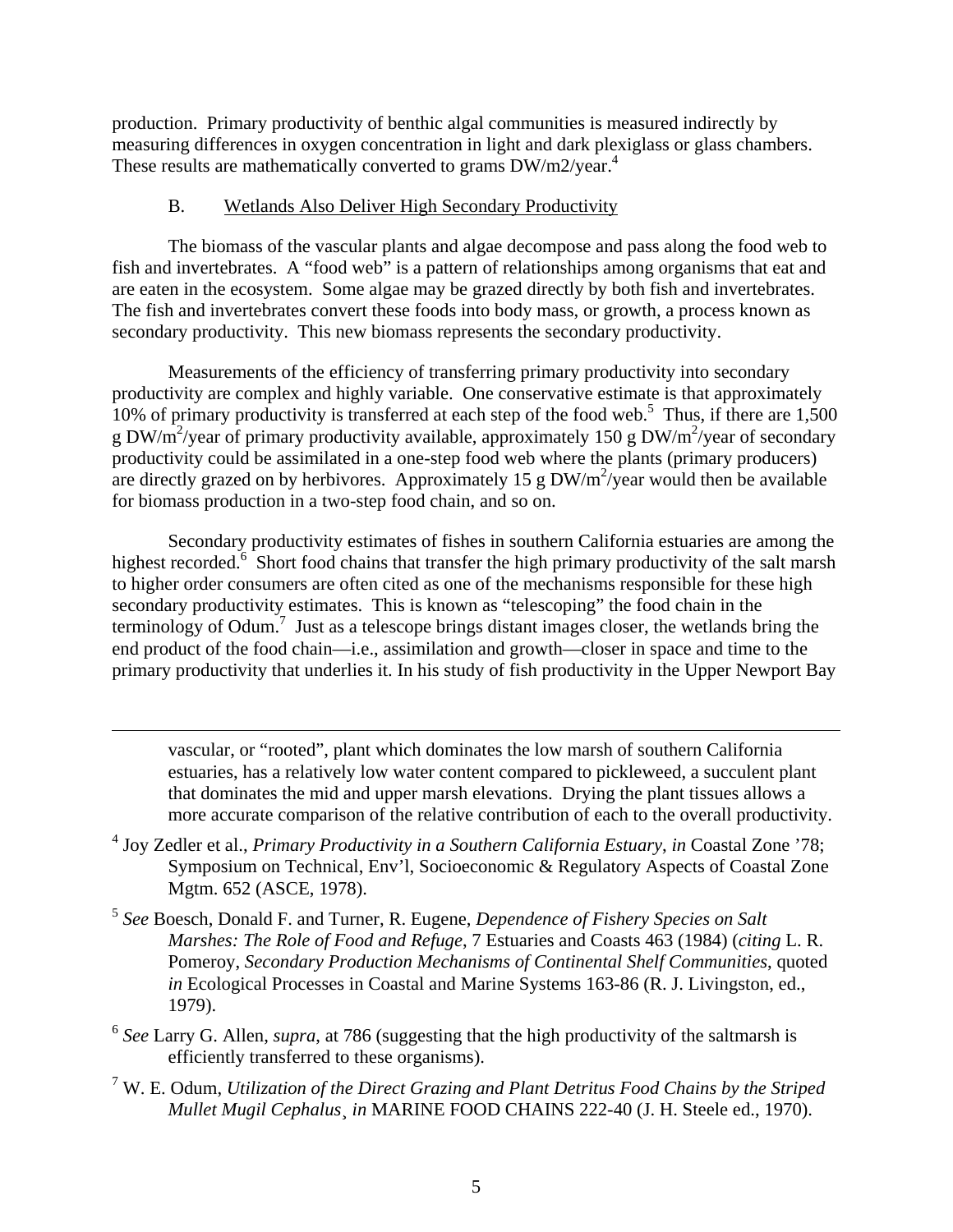production. Primary productivity of benthic algal communities is measured indirectly by measuring differences in oxygen concentration in light and dark plexiglass or glass chambers. These results are mathematically converted to grams  $DW/m2/year<sup>4</sup>$ .

#### B. Wetlands Also Deliver High Secondary Productivity

 $\overline{a}$ 

The biomass of the vascular plants and algae decompose and pass along the food web to fish and invertebrates. A "food web" is a pattern of relationships among organisms that eat and are eaten in the ecosystem. Some algae may be grazed directly by both fish and invertebrates. The fish and invertebrates convert these foods into body mass, or growth, a process known as secondary productivity. This new biomass represents the secondary productivity.

Measurements of the efficiency of transferring primary productivity into secondary productivity are complex and highly variable. One conservative estimate is that approximately 10% of primary productivity is transferred at each step of the food web.<sup>5</sup> Thus, if there are  $1,500$ g DW/m<sup>2</sup>/year of primary productivity available, approximately 150 g DW/m<sup>2</sup>/year of secondary productivity could be assimilated in a one-step food web where the plants (primary producers) are directly grazed on by herbivores. Approximately 15 g  $DW/m^2$ /year would then be available for biomass production in a two-step food chain, and so on.

Secondary productivity estimates of fishes in southern California estuaries are among the highest recorded.<sup>6</sup> Short food chains that transfer the high primary productivity of the salt marsh to higher order consumers are often cited as one of the mechanisms responsible for these high secondary productivity estimates. This is known as "telescoping" the food chain in the terminology of Odum.<sup>7</sup> Just as a telescope brings distant images closer, the wetlands bring the end product of the food chain—i.e., assimilation and growth—closer in space and time to the primary productivity that underlies it. In his study of fish productivity in the Upper Newport Bay

vascular, or "rooted", plant which dominates the low marsh of southern California estuaries, has a relatively low water content compared to pickleweed, a succulent plant that dominates the mid and upper marsh elevations. Drying the plant tissues allows a more accurate comparison of the relative contribution of each to the overall productivity.

- 4 Joy Zedler et al., *Primary Productivity in a Southern California Estuary*, *in* Coastal Zone '78; Symposium on Technical, Env'l, Socioeconomic & Regulatory Aspects of Coastal Zone Mgtm. 652 (ASCE, 1978).
- <sup>5</sup> *See* Boesch, Donald F. and Turner, R. Eugene, *Dependence of Fishery Species on Salt Marshes: The Role of Food and Refuge*, 7 Estuaries and Coasts 463 (1984) (*citing* L. R. Pomeroy, *Secondary Production Mechanisms of Continental Shelf Communities*, quoted *in* Ecological Processes in Coastal and Marine Systems 163-86 (R. J. Livingston, ed., 1979).
- <sup>6</sup> *See* Larry G. Allen, *supra*, at 786 (suggesting that the high productivity of the saltmarsh is efficiently transferred to these organisms).
- 7 W. E. Odum, *Utilization of the Direct Grazing and Plant Detritus Food Chains by the Striped Mullet Mugil Cephalus*¸ *in* MARINE FOOD CHAINS 222-40 (J. H. Steele ed., 1970).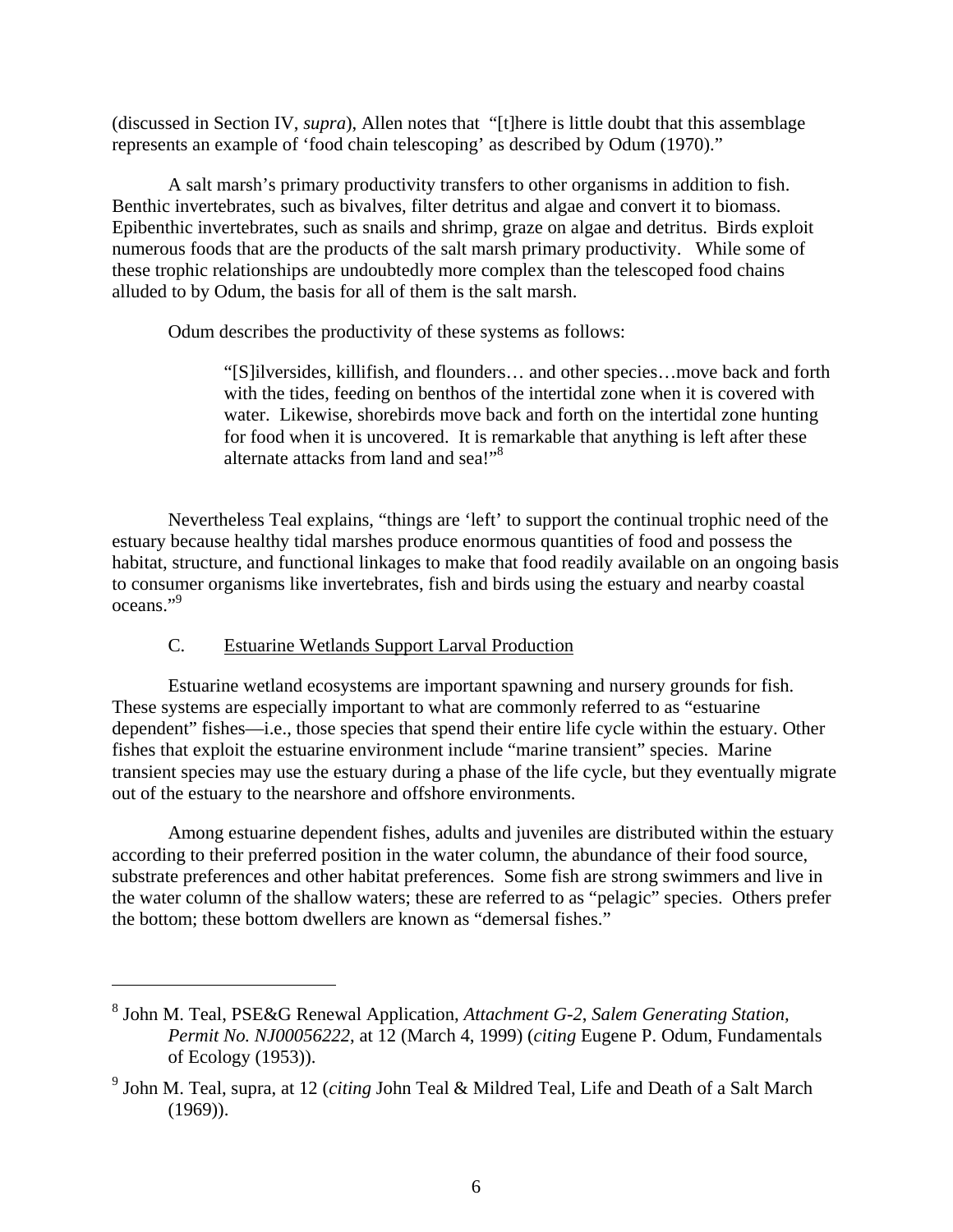(discussed in Section IV, *supra*), Allen notes that "[t]here is little doubt that this assemblage represents an example of 'food chain telescoping' as described by Odum (1970)."

A salt marsh's primary productivity transfers to other organisms in addition to fish. Benthic invertebrates, such as bivalves, filter detritus and algae and convert it to biomass. Epibenthic invertebrates, such as snails and shrimp, graze on algae and detritus. Birds exploit numerous foods that are the products of the salt marsh primary productivity. While some of these trophic relationships are undoubtedly more complex than the telescoped food chains alluded to by Odum, the basis for all of them is the salt marsh.

Odum describes the productivity of these systems as follows:

"[S]ilversides, killifish, and flounders… and other species…move back and forth with the tides, feeding on benthos of the intertidal zone when it is covered with water. Likewise, shorebirds move back and forth on the intertidal zone hunting for food when it is uncovered. It is remarkable that anything is left after these alternate attacks from land and sea!"<sup>8</sup>

Nevertheless Teal explains, "things are 'left' to support the continual trophic need of the estuary because healthy tidal marshes produce enormous quantities of food and possess the habitat, structure, and functional linkages to make that food readily available on an ongoing basis to consumer organisms like invertebrates, fish and birds using the estuary and nearby coastal oceans."9

# C. Estuarine Wetlands Support Larval Production

 $\overline{a}$ 

Estuarine wetland ecosystems are important spawning and nursery grounds for fish. These systems are especially important to what are commonly referred to as "estuarine dependent" fishes—i.e., those species that spend their entire life cycle within the estuary. Other fishes that exploit the estuarine environment include "marine transient" species. Marine transient species may use the estuary during a phase of the life cycle, but they eventually migrate out of the estuary to the nearshore and offshore environments.

Among estuarine dependent fishes, adults and juveniles are distributed within the estuary according to their preferred position in the water column, the abundance of their food source, substrate preferences and other habitat preferences. Some fish are strong swimmers and live in the water column of the shallow waters; these are referred to as "pelagic" species. Others prefer the bottom; these bottom dwellers are known as "demersal fishes."

<sup>8</sup> John M. Teal, PSE&G Renewal Application, *Attachment G-2*, *Salem Generating Station, Permit No. NJ00056222*, at 12 (March 4, 1999) (*citing* Eugene P. Odum, Fundamentals of Ecology (1953)).

<sup>9</sup> John M. Teal, supra, at 12 (*citing* John Teal & Mildred Teal, Life and Death of a Salt March (1969)).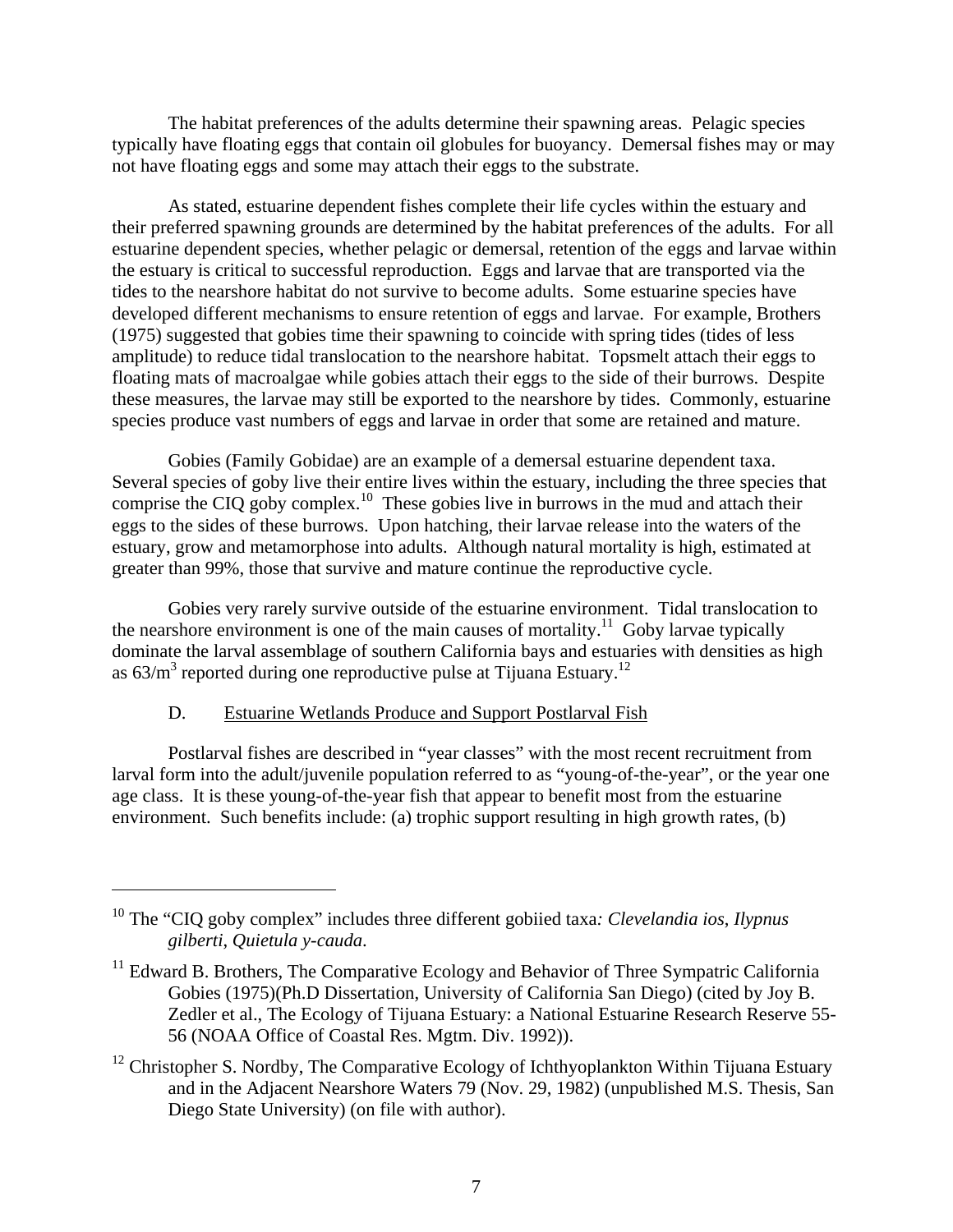The habitat preferences of the adults determine their spawning areas. Pelagic species typically have floating eggs that contain oil globules for buoyancy. Demersal fishes may or may not have floating eggs and some may attach their eggs to the substrate.

As stated, estuarine dependent fishes complete their life cycles within the estuary and their preferred spawning grounds are determined by the habitat preferences of the adults. For all estuarine dependent species, whether pelagic or demersal, retention of the eggs and larvae within the estuary is critical to successful reproduction. Eggs and larvae that are transported via the tides to the nearshore habitat do not survive to become adults. Some estuarine species have developed different mechanisms to ensure retention of eggs and larvae. For example, Brothers (1975) suggested that gobies time their spawning to coincide with spring tides (tides of less amplitude) to reduce tidal translocation to the nearshore habitat. Topsmelt attach their eggs to floating mats of macroalgae while gobies attach their eggs to the side of their burrows. Despite these measures, the larvae may still be exported to the nearshore by tides. Commonly, estuarine species produce vast numbers of eggs and larvae in order that some are retained and mature.

Gobies (Family Gobidae) are an example of a demersal estuarine dependent taxa. Several species of goby live their entire lives within the estuary, including the three species that comprise the CIQ goby complex.<sup>10</sup> These gobies live in burrows in the mud and attach their eggs to the sides of these burrows. Upon hatching, their larvae release into the waters of the estuary, grow and metamorphose into adults. Although natural mortality is high, estimated at greater than 99%, those that survive and mature continue the reproductive cycle.

Gobies very rarely survive outside of the estuarine environment. Tidal translocation to the nearshore environment is one of the main causes of mortality.<sup>11</sup> Goby larvae typically dominate the larval assemblage of southern California bays and estuaries with densities as high as  $63/m<sup>3</sup>$  reported during one reproductive pulse at Tijuana Estuary.<sup>12</sup>

#### D. Estuarine Wetlands Produce and Support Postlarval Fish

1

Postlarval fishes are described in "year classes" with the most recent recruitment from larval form into the adult/juvenile population referred to as "young-of-the-year", or the year one age class. It is these young-of-the-year fish that appear to benefit most from the estuarine environment. Such benefits include: (a) trophic support resulting in high growth rates, (b)

<sup>10</sup> The "CIQ goby complex" includes three different gobiied taxa*: Clevelandia ios*, *Ilypnus gilberti*, *Quietula y-cauda*.

 $11$  Edward B. Brothers, The Comparative Ecology and Behavior of Three Sympatric California Gobies (1975)(Ph.D Dissertation, University of California San Diego) (cited by Joy B. Zedler et al., The Ecology of Tijuana Estuary: a National Estuarine Research Reserve 55- 56 (NOAA Office of Coastal Res. Mgtm. Div. 1992)).

 $12$  Christopher S. Nordby, The Comparative Ecology of Ichthyoplankton Within Tijuana Estuary and in the Adjacent Nearshore Waters 79 (Nov. 29, 1982) (unpublished M.S. Thesis, San Diego State University) (on file with author).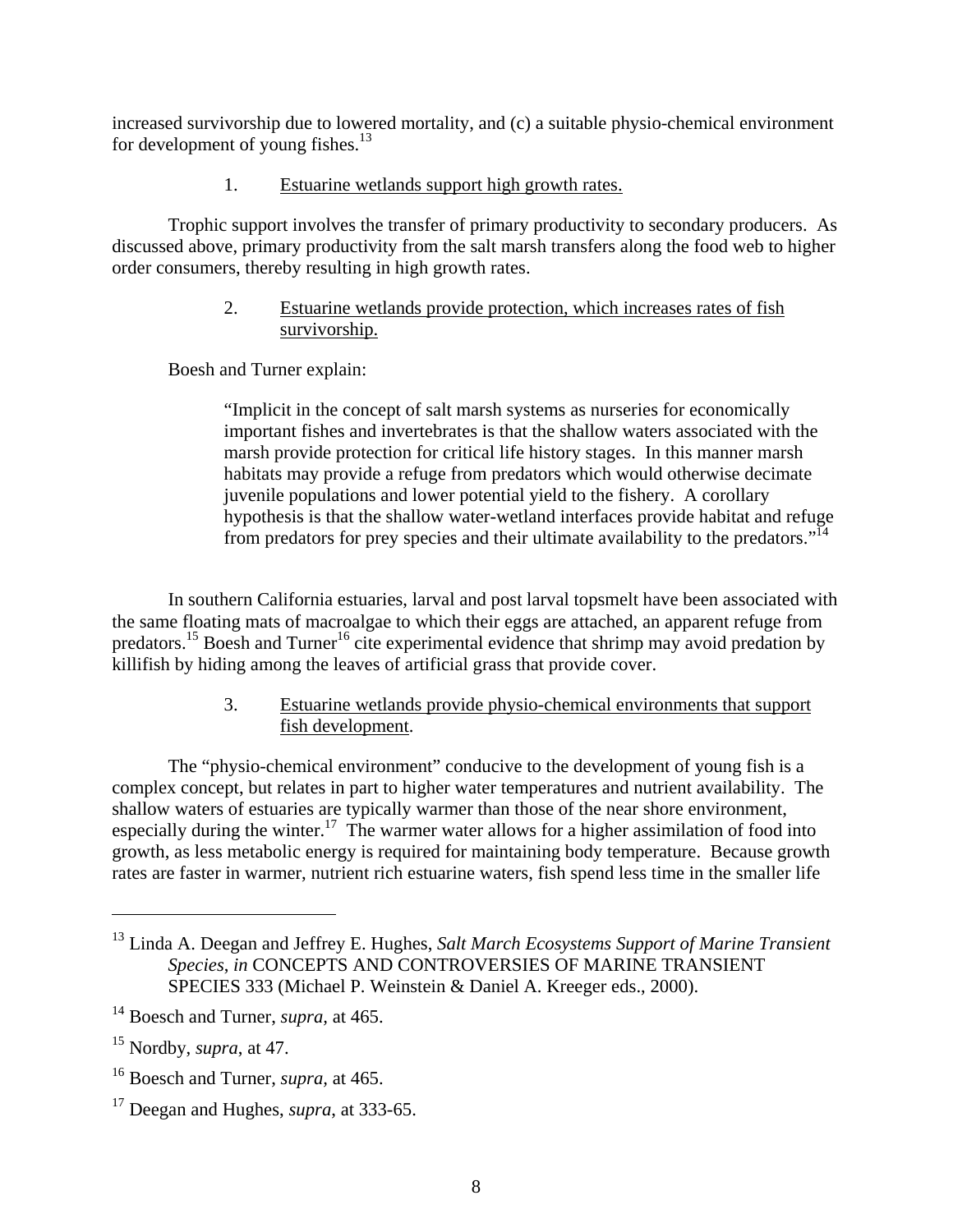increased survivorship due to lowered mortality, and (c) a suitable physio-chemical environment for development of young fishes. $^{13}$ 

## 1. Estuarine wetlands support high growth rates.

Trophic support involves the transfer of primary productivity to secondary producers. As discussed above, primary productivity from the salt marsh transfers along the food web to higher order consumers, thereby resulting in high growth rates.

## 2. Estuarine wetlands provide protection, which increases rates of fish survivorship.

Boesh and Turner explain:

"Implicit in the concept of salt marsh systems as nurseries for economically important fishes and invertebrates is that the shallow waters associated with the marsh provide protection for critical life history stages. In this manner marsh habitats may provide a refuge from predators which would otherwise decimate juvenile populations and lower potential yield to the fishery. A corollary hypothesis is that the shallow water-wetland interfaces provide habitat and refuge from predators for prey species and their ultimate availability to the predators."<sup>14</sup>

In southern California estuaries, larval and post larval topsmelt have been associated with the same floating mats of macroalgae to which their eggs are attached, an apparent refuge from predators.<sup>15</sup> Boesh and Turner<sup>16</sup> cite experimental evidence that shrimp may avoid predation by killifish by hiding among the leaves of artificial grass that provide cover.

# 3. Estuarine wetlands provide physio-chemical environments that support fish development.

The "physio-chemical environment" conducive to the development of young fish is a complex concept, but relates in part to higher water temperatures and nutrient availability. The shallow waters of estuaries are typically warmer than those of the near shore environment, especially during the winter.<sup>17</sup> The warmer water allows for a higher assimilation of food into growth, as less metabolic energy is required for maintaining body temperature. Because growth rates are faster in warmer, nutrient rich estuarine waters, fish spend less time in the smaller life

<sup>13</sup> Linda A. Deegan and Jeffrey E. Hughes, *Salt March Ecosystems Support of Marine Transient Species*, *in* CONCEPTS AND CONTROVERSIES OF MARINE TRANSIENT SPECIES 333 (Michael P. Weinstein & Daniel A. Kreeger eds., 2000).

<sup>14</sup> Boesch and Turner, *supra,* at 465.

<sup>15</sup> Nordby, *supra*, at 47.

<sup>16</sup> Boesch and Turner, *supra,* at 465.

<sup>17</sup> Deegan and Hughes, *supra*, at 333-65.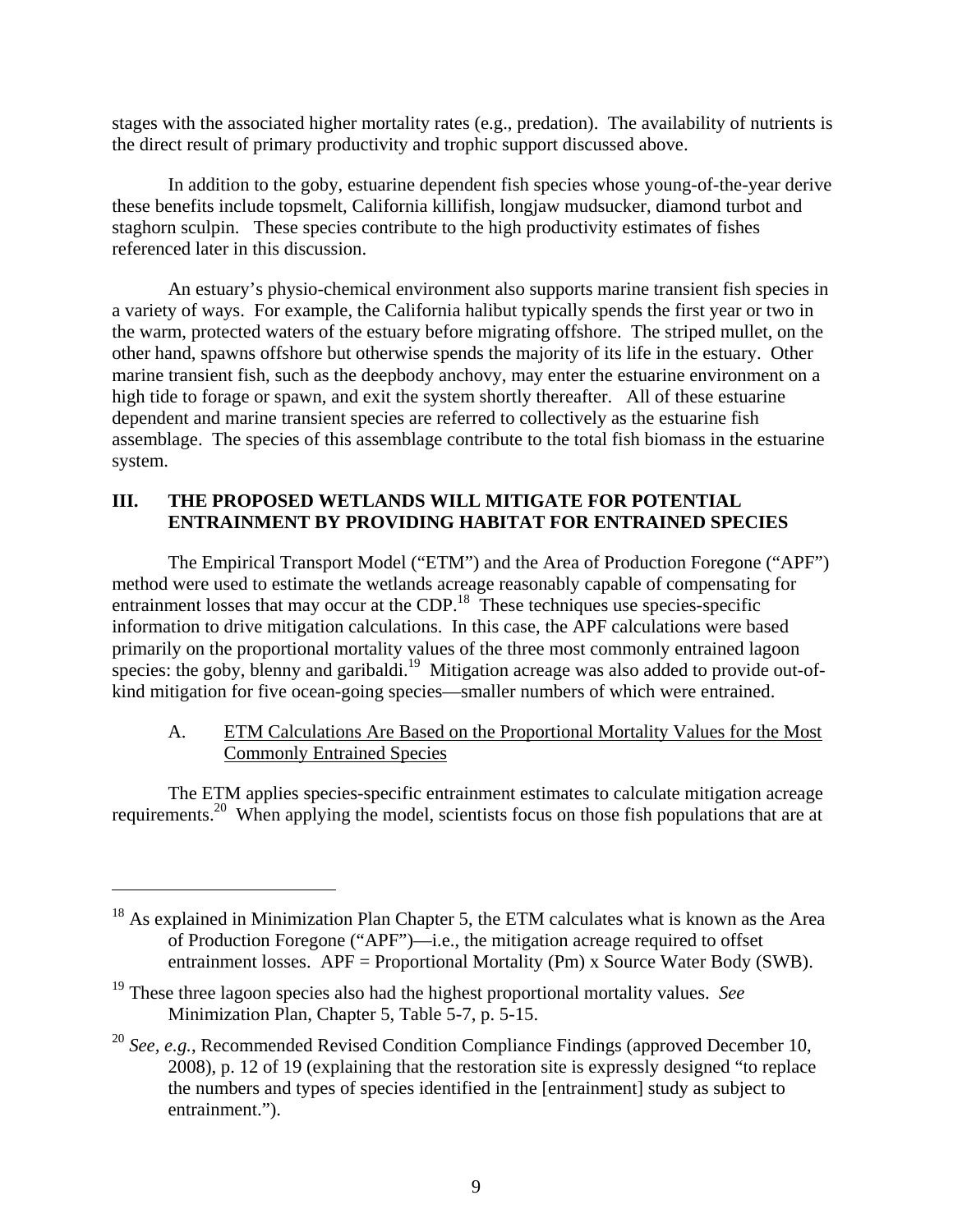stages with the associated higher mortality rates (e.g., predation). The availability of nutrients is the direct result of primary productivity and trophic support discussed above.

In addition to the goby, estuarine dependent fish species whose young-of-the-year derive these benefits include topsmelt, California killifish, longjaw mudsucker, diamond turbot and staghorn sculpin. These species contribute to the high productivity estimates of fishes referenced later in this discussion.

An estuary's physio-chemical environment also supports marine transient fish species in a variety of ways. For example, the California halibut typically spends the first year or two in the warm, protected waters of the estuary before migrating offshore. The striped mullet, on the other hand, spawns offshore but otherwise spends the majority of its life in the estuary. Other marine transient fish, such as the deepbody anchovy, may enter the estuarine environment on a high tide to forage or spawn, and exit the system shortly thereafter. All of these estuarine dependent and marine transient species are referred to collectively as the estuarine fish assemblage. The species of this assemblage contribute to the total fish biomass in the estuarine system.

## **III. THE PROPOSED WETLANDS WILL MITIGATE FOR POTENTIAL ENTRAINMENT BY PROVIDING HABITAT FOR ENTRAINED SPECIES**

The Empirical Transport Model ("ETM") and the Area of Production Foregone ("APF") method were used to estimate the wetlands acreage reasonably capable of compensating for entrainment losses that may occur at the CDP.<sup>18</sup> These techniques use species-specific information to drive mitigation calculations. In this case, the APF calculations were based primarily on the proportional mortality values of the three most commonly entrained lagoon species: the goby, blenny and garibaldi.<sup>19</sup> Mitigation acreage was also added to provide out-ofkind mitigation for five ocean-going species—smaller numbers of which were entrained.

# A. ETM Calculations Are Based on the Proportional Mortality Values for the Most Commonly Entrained Species

The ETM applies species-specific entrainment estimates to calculate mitigation acreage requirements.<sup>20</sup> When applying the model, scientists focus on those fish populations that are at

<sup>&</sup>lt;sup>18</sup> As explained in Minimization Plan Chapter 5, the ETM calculates what is known as the Area of Production Foregone ("APF")—i.e., the mitigation acreage required to offset entrainment losses.  $APF =$  Proportional Mortality (Pm) x Source Water Body (SWB).

<sup>19</sup> These three lagoon species also had the highest proportional mortality values. *See* Minimization Plan, Chapter 5, Table 5-7, p. 5-15.

<sup>20</sup> *See, e.g.*, Recommended Revised Condition Compliance Findings (approved December 10, 2008), p. 12 of 19 (explaining that the restoration site is expressly designed "to replace the numbers and types of species identified in the [entrainment] study as subject to entrainment.").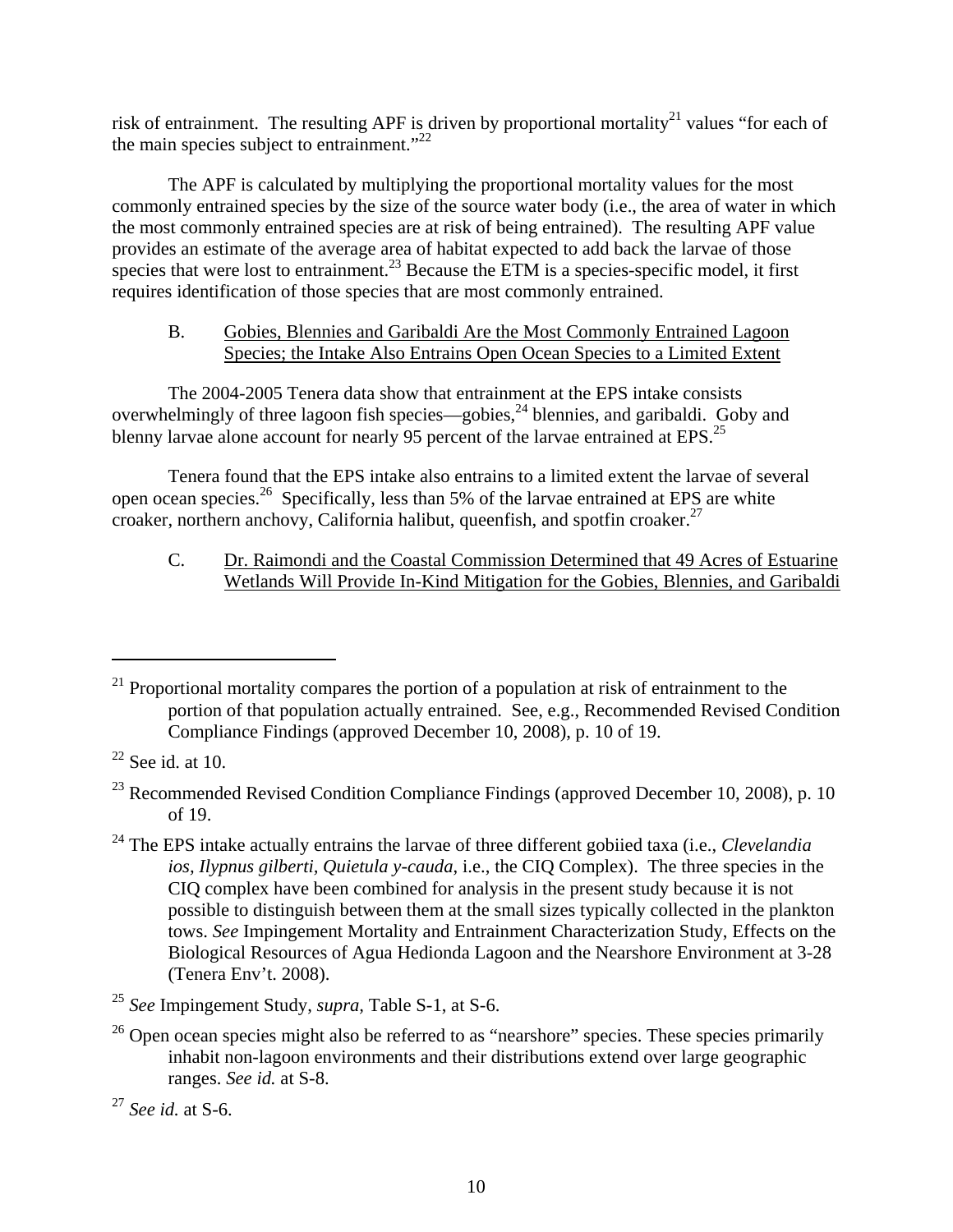risk of entrainment. The resulting APF is driven by proportional mortality<sup>21</sup> values "for each of the main species subject to entrainment." $^{22}$ 

The APF is calculated by multiplying the proportional mortality values for the most commonly entrained species by the size of the source water body (i.e., the area of water in which the most commonly entrained species are at risk of being entrained). The resulting APF value provides an estimate of the average area of habitat expected to add back the larvae of those species that were lost to entrainment.<sup>23</sup> Because the ETM is a species-specific model, it first requires identification of those species that are most commonly entrained.

## B. Gobies, Blennies and Garibaldi Are the Most Commonly Entrained Lagoon Species; the Intake Also Entrains Open Ocean Species to a Limited Extent

The 2004-2005 Tenera data show that entrainment at the EPS intake consists overwhelmingly of three lagoon fish species—gobies,<sup>24</sup> blennies, and garibaldi. Goby and blenny larvae alone account for nearly 95 percent of the larvae entrained at EPS.<sup>25</sup>

 Tenera found that the EPS intake also entrains to a limited extent the larvae of several open ocean species.26 Specifically, less than 5% of the larvae entrained at EPS are white croaker, northern anchovy, California halibut, queenfish, and spotfin croaker.<sup>27</sup>

C. Dr. Raimondi and the Coastal Commission Determined that 49 Acres of Estuarine Wetlands Will Provide In-Kind Mitigation for the Gobies, Blennies, and Garibaldi

1

 $21$  Proportional mortality compares the portion of a population at risk of entrainment to the portion of that population actually entrained. See, e.g., Recommended Revised Condition Compliance Findings (approved December 10, 2008), p. 10 of 19.

 $22$  See id. at 10.

 $^{23}$  Recommended Revised Condition Compliance Findings (approved December 10, 2008), p. 10 of 19.

<sup>24</sup> The EPS intake actually entrains the larvae of three different gobiied taxa (i.e., *Clevelandia ios, Ilypnus gilberti, Quietula y-cauda*, i.e., the CIQ Complex). The three species in the CIQ complex have been combined for analysis in the present study because it is not possible to distinguish between them at the small sizes typically collected in the plankton tows. *See* Impingement Mortality and Entrainment Characterization Study, Effects on the Biological Resources of Agua Hedionda Lagoon and the Nearshore Environment at 3-28 (Tenera Env't. 2008).

<sup>25</sup> *See* Impingement Study, *supra,* Table S-1, at S-6.

 $26$  Open ocean species might also be referred to as "nearshore" species. These species primarily inhabit non-lagoon environments and their distributions extend over large geographic ranges. *See id.* at S-8.

<sup>27</sup> *See id.* at S-6.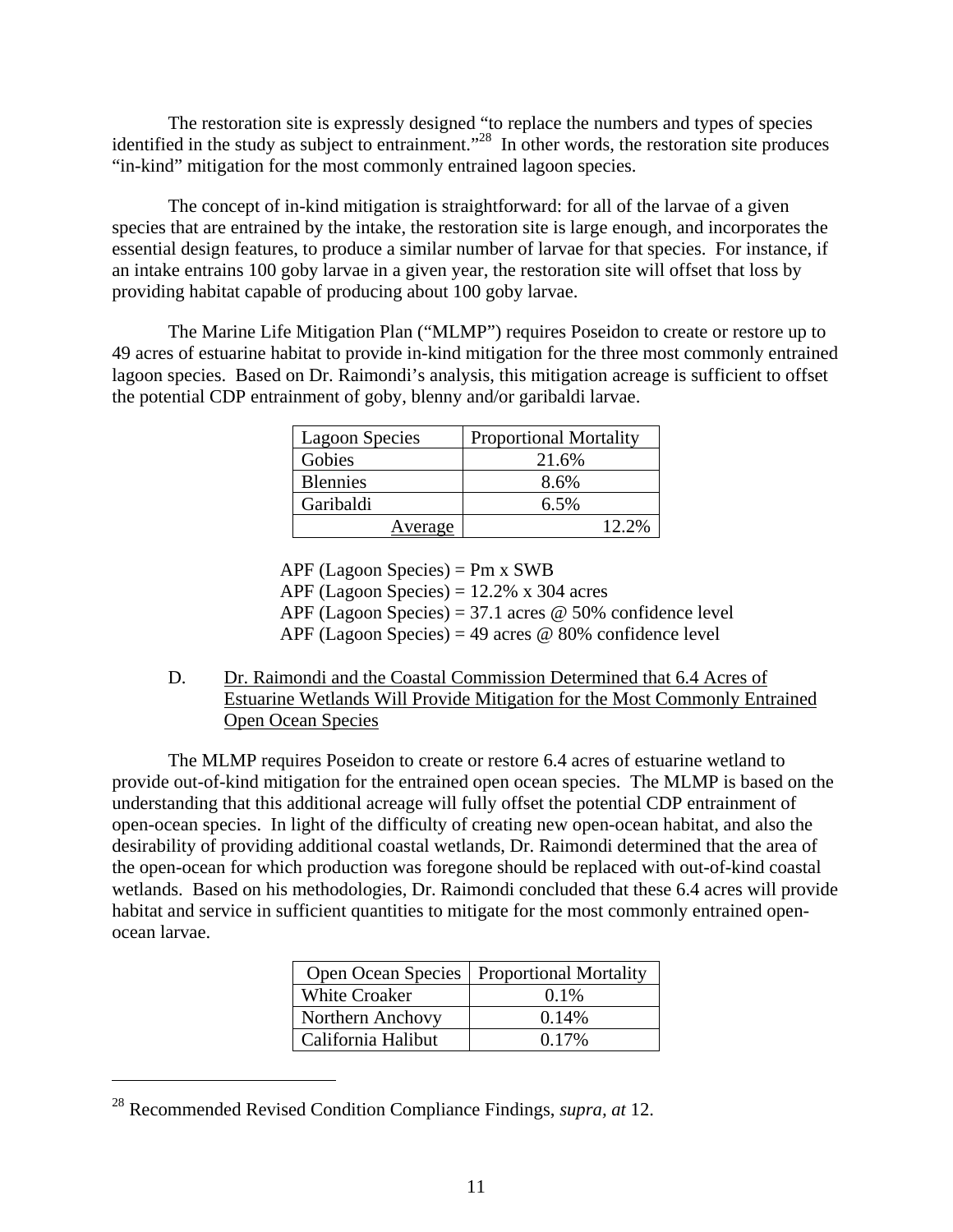The restoration site is expressly designed "to replace the numbers and types of species identified in the study as subject to entrainment."<sup>28</sup> In other words, the restoration site produces "in-kind" mitigation for the most commonly entrained lagoon species.

The concept of in-kind mitigation is straightforward: for all of the larvae of a given species that are entrained by the intake, the restoration site is large enough, and incorporates the essential design features, to produce a similar number of larvae for that species. For instance, if an intake entrains 100 goby larvae in a given year, the restoration site will offset that loss by providing habitat capable of producing about 100 goby larvae.

The Marine Life Mitigation Plan ("MLMP") requires Poseidon to create or restore up to 49 acres of estuarine habitat to provide in-kind mitigation for the three most commonly entrained lagoon species. Based on Dr. Raimondi's analysis, this mitigation acreage is sufficient to offset the potential CDP entrainment of goby, blenny and/or garibaldi larvae.

| <b>Lagoon Species</b> | <b>Proportional Mortality</b> |  |  |  |  |
|-----------------------|-------------------------------|--|--|--|--|
| Gobies                | 21.6%                         |  |  |  |  |
| <b>Blennies</b>       | 8.6%                          |  |  |  |  |
| Garibaldi             | 6.5%                          |  |  |  |  |
| Average               | $12.2\%$                      |  |  |  |  |

APF (Lagoon Species) = Pm x SWB APF (Lagoon Species) =  $12.2\%$  x 304 acres APF (Lagoon Species) = 37.1 acres  $\omega$  50% confidence level APF (Lagoon Species) = 49 acres  $\omega$  80% confidence level

D. Dr. Raimondi and the Coastal Commission Determined that 6.4 Acres of Estuarine Wetlands Will Provide Mitigation for the Most Commonly Entrained Open Ocean Species

The MLMP requires Poseidon to create or restore 6.4 acres of estuarine wetland to provide out-of-kind mitigation for the entrained open ocean species. The MLMP is based on the understanding that this additional acreage will fully offset the potential CDP entrainment of open-ocean species. In light of the difficulty of creating new open-ocean habitat, and also the desirability of providing additional coastal wetlands, Dr. Raimondi determined that the area of the open-ocean for which production was foregone should be replaced with out-of-kind coastal wetlands. Based on his methodologies, Dr. Raimondi concluded that these 6.4 acres will provide habitat and service in sufficient quantities to mitigate for the most commonly entrained openocean larvae.

| <b>Open Ocean Species</b> | <b>Proportional Mortality</b> |
|---------------------------|-------------------------------|
| <b>White Croaker</b>      | $0.1\%$                       |
| <b>Northern Anchovy</b>   | 0.14%                         |
| California Halibut        | $0.17\%$                      |

<sup>28</sup> Recommended Revised Condition Compliance Findings, *supra, at* 12.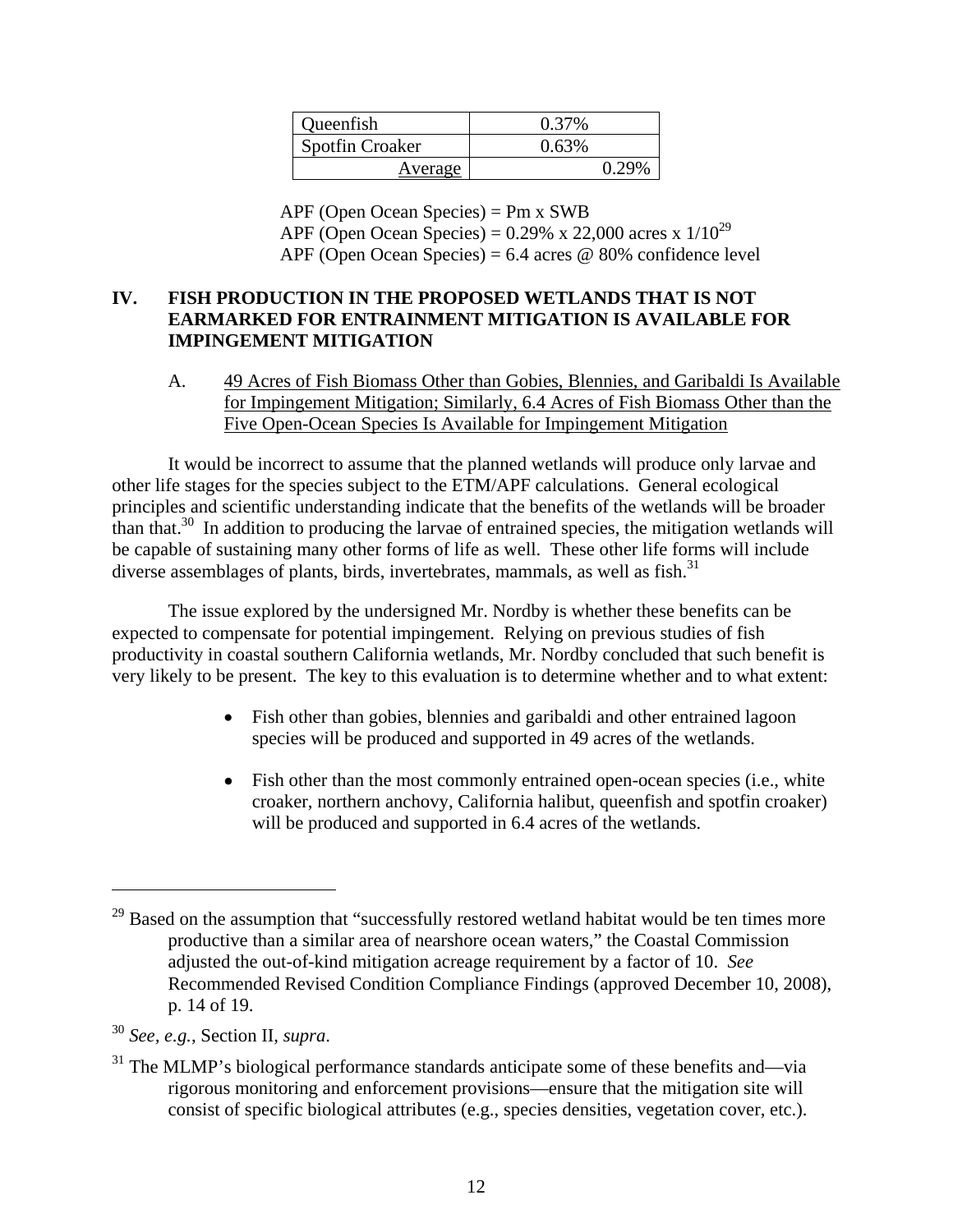| Queenfish              | 0.37% |
|------------------------|-------|
| <b>Spotfin Croaker</b> | 0.63% |
| Average                | 0.29% |

APF (Open Ocean Species) = Pm x SWB APF (Open Ocean Species) =  $0.29\%$  x 22,000 acres x  $1/10^{29}$ APF (Open Ocean Species) =  $6.4$  acres @ 80% confidence level

# **IV. FISH PRODUCTION IN THE PROPOSED WETLANDS THAT IS NOT EARMARKED FOR ENTRAINMENT MITIGATION IS AVAILABLE FOR IMPINGEMENT MITIGATION**

A. 49 Acres of Fish Biomass Other than Gobies, Blennies, and Garibaldi Is Available for Impingement Mitigation; Similarly, 6.4 Acres of Fish Biomass Other than the Five Open-Ocean Species Is Available for Impingement Mitigation

It would be incorrect to assume that the planned wetlands will produce only larvae and other life stages for the species subject to the ETM/APF calculations. General ecological principles and scientific understanding indicate that the benefits of the wetlands will be broader than that. $30 \text{ In addition to producing the larvae of entrained species, the mitigation wetlands will}$ be capable of sustaining many other forms of life as well. These other life forms will include diverse assemblages of plants, birds, invertebrates, mammals, as well as fish.<sup>31</sup>

The issue explored by the undersigned Mr. Nordby is whether these benefits can be expected to compensate for potential impingement. Relying on previous studies of fish productivity in coastal southern California wetlands, Mr. Nordby concluded that such benefit is very likely to be present. The key to this evaluation is to determine whether and to what extent:

- Fish other than gobies, blennies and garibaldi and other entrained lagoon species will be produced and supported in 49 acres of the wetlands.
- Fish other than the most commonly entrained open-ocean species (i.e., white croaker, northern anchovy, California halibut, queenfish and spotfin croaker) will be produced and supported in 6.4 acres of the wetlands.

1

 $^{29}$  Based on the assumption that "successfully restored wetland habitat would be ten times more productive than a similar area of nearshore ocean waters," the Coastal Commission adjusted the out-of-kind mitigation acreage requirement by a factor of 10. *See* Recommended Revised Condition Compliance Findings (approved December 10, 2008), p. 14 of 19.

<sup>30</sup> *See, e.g.*, Section II, *supra*.

 $31$  The MLMP's biological performance standards anticipate some of these benefits and—via rigorous monitoring and enforcement provisions—ensure that the mitigation site will consist of specific biological attributes (e.g., species densities, vegetation cover, etc.).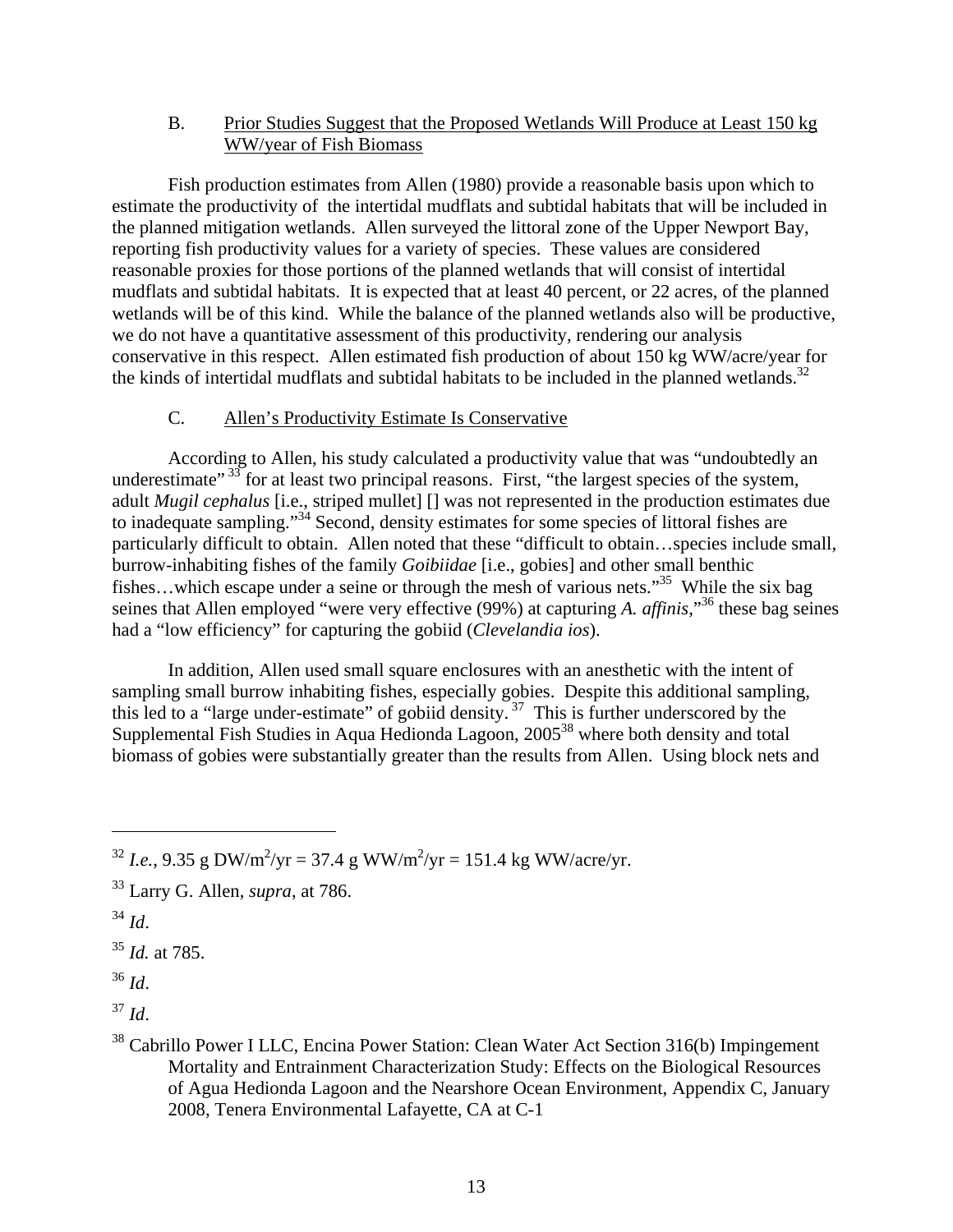#### B. Prior Studies Suggest that the Proposed Wetlands Will Produce at Least 150 kg WW/year of Fish Biomass

Fish production estimates from Allen (1980) provide a reasonable basis upon which to estimate the productivity of the intertidal mudflats and subtidal habitats that will be included in the planned mitigation wetlands. Allen surveyed the littoral zone of the Upper Newport Bay, reporting fish productivity values for a variety of species. These values are considered reasonable proxies for those portions of the planned wetlands that will consist of intertidal mudflats and subtidal habitats. It is expected that at least 40 percent, or 22 acres, of the planned wetlands will be of this kind. While the balance of the planned wetlands also will be productive, we do not have a quantitative assessment of this productivity, rendering our analysis conservative in this respect. Allen estimated fish production of about 150 kg WW/acre/year for the kinds of intertidal mudflats and subtidal habitats to be included in the planned wetlands.<sup>32</sup>

#### C. Allen's Productivity Estimate Is Conservative

According to Allen, his study calculated a productivity value that was "undoubtedly an underestimate"<sup>33</sup> for at least two principal reasons. First, "the largest species of the system, adult *Mugil cephalus* [i.e., striped mullet] [] was not represented in the production estimates due to inadequate sampling."34 Second, density estimates for some species of littoral fishes are particularly difficult to obtain. Allen noted that these "difficult to obtain…species include small, burrow-inhabiting fishes of the family *Goibiidae* [i.e., gobies] and other small benthic fishes...which escape under a seine or through the mesh of various nets.<sup>35</sup> While the six bag seines that Allen employed "were very effective (99%) at capturing *A. affinis*,"36 these bag seines had a "low efficiency" for capturing the gobiid (*Clevelandia ios*).

In addition, Allen used small square enclosures with an anesthetic with the intent of sampling small burrow inhabiting fishes, especially gobies. Despite this additional sampling, this led to a "large under-estimate" of gobiid density.<sup>37</sup> This is further underscored by the Supplemental Fish Studies in Aqua Hedionda Lagoon, 2005<sup>38</sup> where both density and total biomass of gobies were substantially greater than the results from Allen. Using block nets and

 $^{32}$  *I.e.*, 9.35 g DW/m<sup>2</sup>/yr = 37.4 g WW/m<sup>2</sup>/yr = 151.4 kg WW/acre/yr.

<sup>33</sup> Larry G. Allen, *supra*, at 786.

<sup>34</sup> *Id*.

<sup>35</sup> *Id.* at 785.

<sup>36</sup> *Id*.

<sup>37</sup> *Id*.

<sup>&</sup>lt;sup>38</sup> Cabrillo Power I LLC, Encina Power Station: Clean Water Act Section 316(b) Impingement Mortality and Entrainment Characterization Study: Effects on the Biological Resources of Agua Hedionda Lagoon and the Nearshore Ocean Environment, Appendix C, January 2008, Tenera Environmental Lafayette, CA at C-1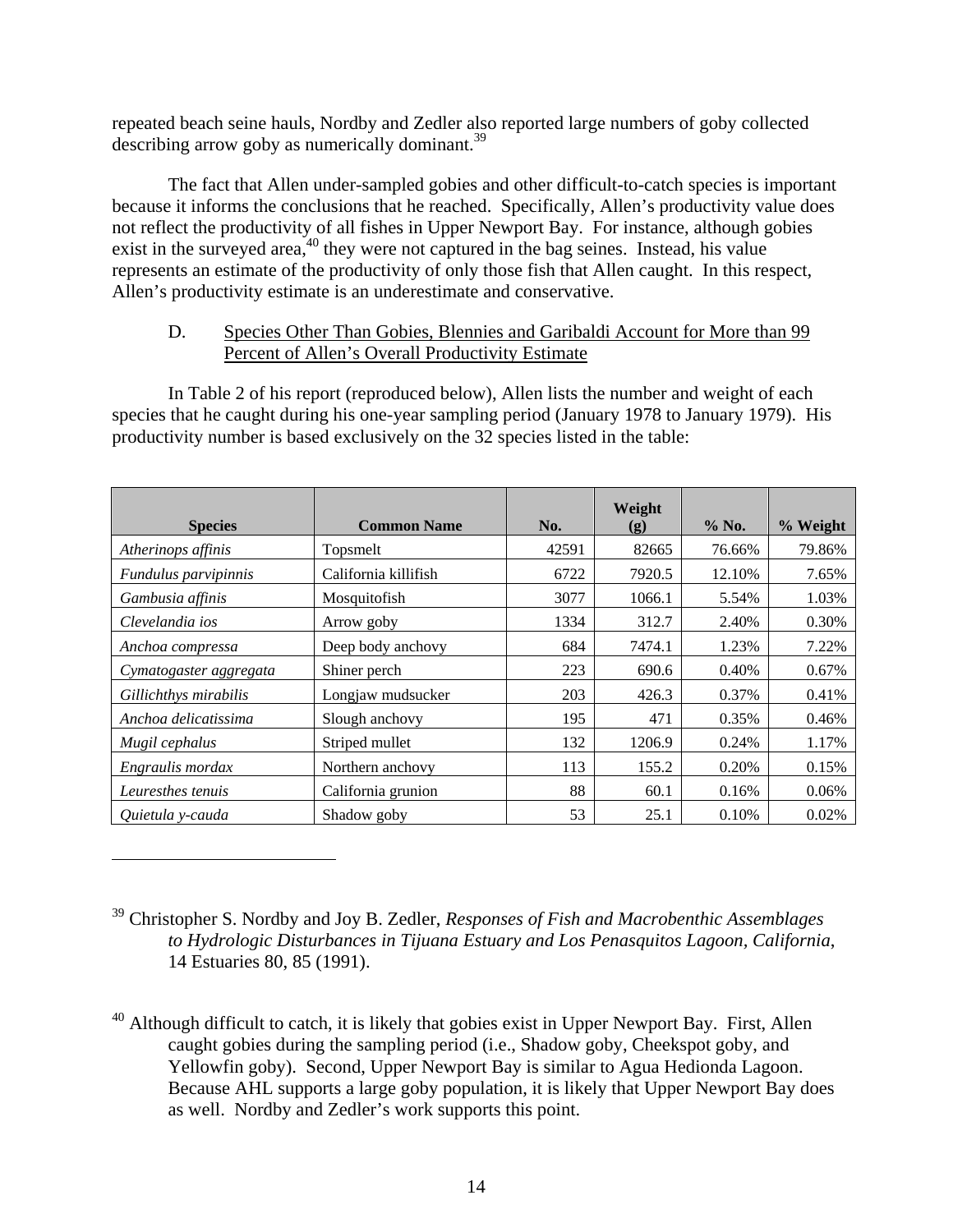repeated beach seine hauls, Nordby and Zedler also reported large numbers of goby collected describing arrow goby as numerically dominant.<sup>39</sup>

The fact that Allen under-sampled gobies and other difficult-to-catch species is important because it informs the conclusions that he reached. Specifically, Allen's productivity value does not reflect the productivity of all fishes in Upper Newport Bay. For instance, although gobies exist in the surveyed area,<sup>40</sup> they were not captured in the bag seines. Instead, his value represents an estimate of the productivity of only those fish that Allen caught. In this respect, Allen's productivity estimate is an underestimate and conservative.

## D. Species Other Than Gobies, Blennies and Garibaldi Account for More than 99 Percent of Allen's Overall Productivity Estimate

In Table 2 of his report (reproduced below), Allen lists the number and weight of each species that he caught during his one-year sampling period (January 1978 to January 1979). His productivity number is based exclusively on the 32 species listed in the table:

| <b>Species</b>         | <b>Common Name</b>   | No.   | Weight<br>$\left( \mathbf{g} \right)$ | $%$ No. | % Weight |
|------------------------|----------------------|-------|---------------------------------------|---------|----------|
| Atherinops affinis     | Topsmelt             | 42591 | 82665                                 | 76.66%  | 79.86%   |
| Fundulus parvipinnis   | California killifish | 6722  | 7920.5                                | 12.10%  | 7.65%    |
| Gambusia affinis       | Mosquitofish         | 3077  | 1066.1                                | 5.54%   | 1.03%    |
| Clevelandia ios        | Arrow goby           | 1334  | 312.7                                 | 2.40%   | 0.30%    |
| Anchoa compressa       | Deep body anchovy    | 684   | 7474.1                                | 1.23%   | 7.22%    |
| Cymatogaster aggregata | Shiner perch         | 223   | 690.6                                 | 0.40%   | 0.67%    |
| Gillichthys mirabilis  | Longjaw mudsucker    | 203   | 426.3                                 | 0.37%   | 0.41%    |
| Anchoa delicatissima   | Slough anchovy       | 195   | 471                                   | 0.35%   | 0.46%    |
| Mugil cephalus         | Striped mullet       | 132   | 1206.9                                | 0.24%   | 1.17%    |
| Engraulis mordax       | Northern anchovy     | 113   | 155.2                                 | 0.20%   | 0.15%    |
| Leuresthes tenuis      | California grunion   | 88    | 60.1                                  | 0.16%   | 0.06%    |
| Quietula y-cauda       | Shadow goby          | 53    | 25.1                                  | 0.10%   | 0.02%    |

<sup>39</sup> Christopher S. Nordby and Joy B. Zedler, *Responses of Fish and Macrobenthic Assemblages to Hydrologic Disturbances in Tijuana Estuary and Los Penasquitos Lagoon, California*, 14 Estuaries 80, 85 (1991).

<sup>&</sup>lt;sup>40</sup> Although difficult to catch, it is likely that gobies exist in Upper Newport Bay. First, Allen caught gobies during the sampling period (i.e., Shadow goby, Cheekspot goby, and Yellowfin goby). Second, Upper Newport Bay is similar to Agua Hedionda Lagoon. Because AHL supports a large goby population, it is likely that Upper Newport Bay does as well. Nordby and Zedler's work supports this point.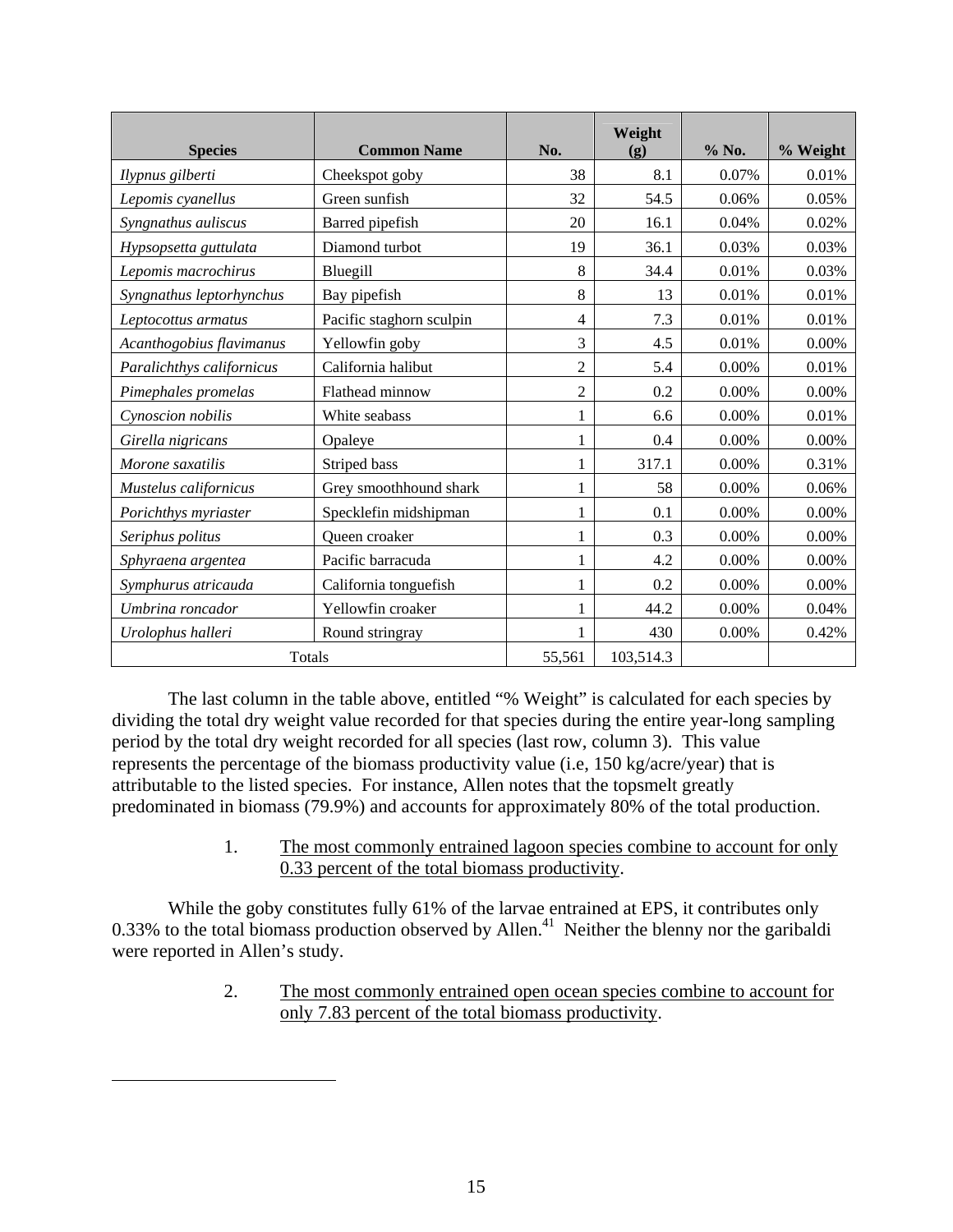|                           |                          |                | Weight                      |       |          |
|---------------------------|--------------------------|----------------|-----------------------------|-------|----------|
| <b>Species</b>            | <b>Common Name</b>       | No.            | $\left( \mathbf{g} \right)$ | % No. | % Weight |
| Ilypnus gilberti          | Cheekspot goby           | 38             | 8.1                         | 0.07% | 0.01%    |
| Lepomis cyanellus         | Green sunfish            | 32             | 54.5                        | 0.06% | 0.05%    |
| Syngnathus auliscus       | Barred pipefish          | 20             | 16.1                        | 0.04% | 0.02%    |
| Hypsopsetta guttulata     | Diamond turbot           | 19             | 36.1                        | 0.03% | 0.03%    |
| Lepomis macrochirus       | Bluegill                 | 8              | 34.4                        | 0.01% | 0.03%    |
| Syngnathus leptorhynchus  | Bay pipefish             | 8              | 13                          | 0.01% | 0.01%    |
| Leptocottus armatus       | Pacific staghorn sculpin | 4              | 7.3                         | 0.01% | 0.01%    |
| Acanthogobius flavimanus  | Yellowfin goby           | 3              | 4.5                         | 0.01% | 0.00%    |
| Paralichthys californicus | California halibut       | $\overline{2}$ | 5.4                         | 0.00% | 0.01%    |
| Pimephales promelas       | Flathead minnow          | $\overline{2}$ | 0.2                         | 0.00% | $0.00\%$ |
| Cynoscion nobilis         | White seabass            | 1              | 6.6                         | 0.00% | 0.01%    |
| Girella nigricans         | Opaleye                  | 1              | 0.4                         | 0.00% | 0.00%    |
| Morone saxatilis          | Striped bass             | 1              | 317.1                       | 0.00% | 0.31%    |
| Mustelus californicus     | Grey smoothhound shark   | 1              | 58                          | 0.00% | 0.06%    |
| Porichthys myriaster      | Specklefin midshipman    | 1              | 0.1                         | 0.00% | 0.00%    |
| Seriphus politus          | Queen croaker            | 1              | 0.3                         | 0.00% | 0.00%    |
| Sphyraena argentea        | Pacific barracuda        | 1              | 4.2                         | 0.00% | 0.00%    |
| Symphurus atricauda       | California tonguefish    | 1              | 0.2                         | 0.00% | $0.00\%$ |
| Umbrina roncador          | Yellowfin croaker        |                | 44.2                        | 0.00% | 0.04%    |
| Urolophus halleri         | Round stringray          | 1              | 430                         | 0.00% | 0.42%    |
| Totals                    |                          | 55,561         | 103,514.3                   |       |          |

The last column in the table above, entitled "% Weight" is calculated for each species by dividing the total dry weight value recorded for that species during the entire year-long sampling period by the total dry weight recorded for all species (last row, column 3). This value represents the percentage of the biomass productivity value (i.e, 150 kg/acre/year) that is attributable to the listed species. For instance, Allen notes that the topsmelt greatly predominated in biomass (79.9%) and accounts for approximately 80% of the total production.

> 1. The most commonly entrained lagoon species combine to account for only 0.33 percent of the total biomass productivity.

While the goby constitutes fully 61% of the larvae entrained at EPS, it contributes only 0.33% to the total biomass production observed by Allen.<sup>41</sup> Neither the blenny nor the garibaldi were reported in Allen's study.

> 2. The most commonly entrained open ocean species combine to account for only 7.83 percent of the total biomass productivity.

<u>.</u>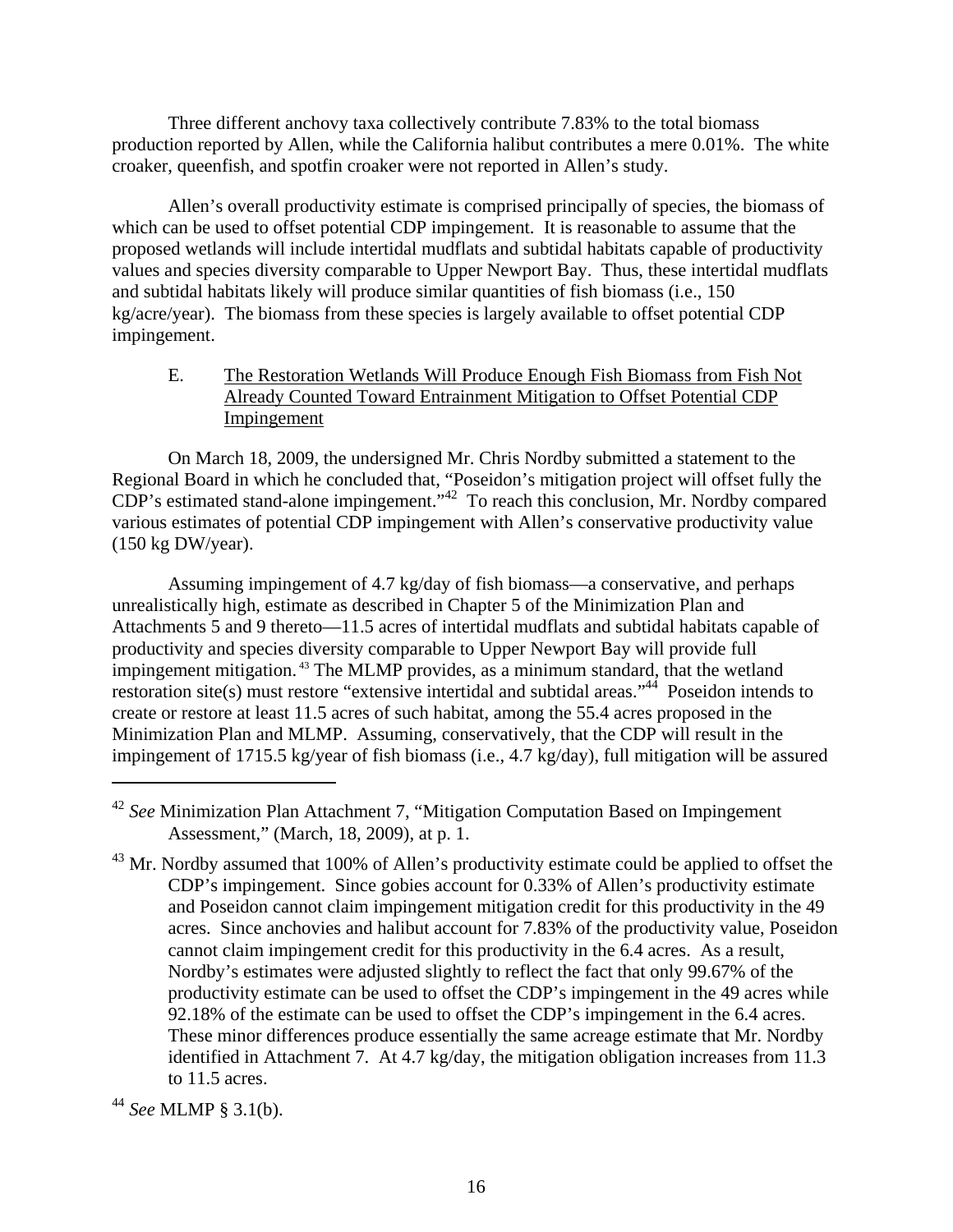Three different anchovy taxa collectively contribute 7.83% to the total biomass production reported by Allen, while the California halibut contributes a mere 0.01%. The white croaker, queenfish, and spotfin croaker were not reported in Allen's study.

Allen's overall productivity estimate is comprised principally of species, the biomass of which can be used to offset potential CDP impingement. It is reasonable to assume that the proposed wetlands will include intertidal mudflats and subtidal habitats capable of productivity values and species diversity comparable to Upper Newport Bay. Thus, these intertidal mudflats and subtidal habitats likely will produce similar quantities of fish biomass (i.e., 150 kg/acre/year). The biomass from these species is largely available to offset potential CDP impingement.

#### E. The Restoration Wetlands Will Produce Enough Fish Biomass from Fish Not Already Counted Toward Entrainment Mitigation to Offset Potential CDP Impingement

On March 18, 2009, the undersigned Mr. Chris Nordby submitted a statement to the Regional Board in which he concluded that, "Poseidon's mitigation project will offset fully the CDP's estimated stand-alone impingement."42 To reach this conclusion, Mr. Nordby compared various estimates of potential CDP impingement with Allen's conservative productivity value (150 kg DW/year).

Assuming impingement of 4.7 kg/day of fish biomass—a conservative, and perhaps unrealistically high, estimate as described in Chapter 5 of the Minimization Plan and Attachments 5 and 9 thereto—11.5 acres of intertidal mudflats and subtidal habitats capable of productivity and species diversity comparable to Upper Newport Bay will provide full impingement mitigation. 43 The MLMP provides, as a minimum standard, that the wetland restoration site(s) must restore "extensive intertidal and subtidal areas."<sup>44</sup> Poseidon intends to create or restore at least 11.5 acres of such habitat, among the 55.4 acres proposed in the Minimization Plan and MLMP. Assuming, conservatively, that the CDP will result in the impingement of 1715.5 kg/year of fish biomass (i.e., 4.7 kg/day), full mitigation will be assured

1

<sup>42</sup> *See* Minimization Plan Attachment 7, "Mitigation Computation Based on Impingement Assessment," (March, 18, 2009), at p. 1.

 $43$  Mr. Nordby assumed that 100% of Allen's productivity estimate could be applied to offset the CDP's impingement. Since gobies account for 0.33% of Allen's productivity estimate and Poseidon cannot claim impingement mitigation credit for this productivity in the 49 acres. Since anchovies and halibut account for 7.83% of the productivity value, Poseidon cannot claim impingement credit for this productivity in the 6.4 acres. As a result, Nordby's estimates were adjusted slightly to reflect the fact that only 99.67% of the productivity estimate can be used to offset the CDP's impingement in the 49 acres while 92.18% of the estimate can be used to offset the CDP's impingement in the 6.4 acres. These minor differences produce essentially the same acreage estimate that Mr. Nordby identified in Attachment 7. At 4.7 kg/day, the mitigation obligation increases from 11.3 to 11.5 acres.

<sup>44</sup> *See* MLMP § 3.1(b).